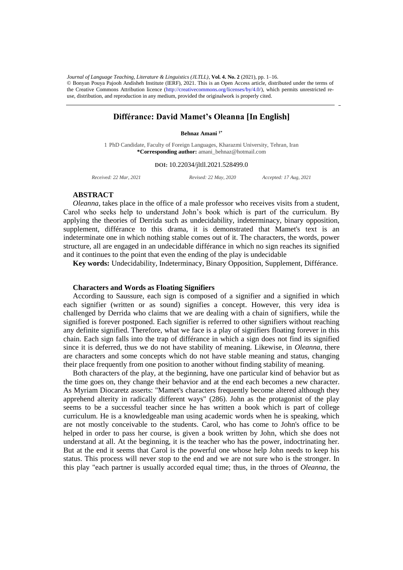the Creative Commons Attribution licence (http://creativecommons.org/licenses/by/4.0/), which permits unrestricted reuse, distribution, and reproduction in any medium, provided the originalwork is properly cited. *Journal of Language Teaching, Literature & Linguistics (JLTLL)*, **Vol. 4. No. 2** (2021), pp. 1–16. © Bonyan Pouya Pajooh Andisheh Institute (IERF), 2021. This is an Open Access article, distributed under the terms of

# **Différance: David Mamet's Oleanna [In English]**

### **Behnaz Amani 1\***

1 PhD Candidate, Faculty of Foreign Languages, Kharazmi University, Tehran, Iran **\*Corresponding author:** amani\_behnaz@hotmail.com

#### **DOI:** 10.22034/jltll.2021.528499.0

*Received: 22 Mar, 2021 Revised: 22 May, 2020 Accepted: 17 Aug, 2021*

# **ABSTRACT**

*Oleanna*, takes place in the office of a male professor who receives visits from a student, Carol who seeks help to understand John's book which is part of the curriculum. By applying the theories of Derrida such as undecidability, indeterminacy, binary opposition, supplement, différance to this drama, it is demonstrated that Mamet's text is an indeterminate one in which nothing stable comes out of it. The characters, the words, power structure, all are engaged in an undecidable différance in which no sign reaches its signified and it continues to the point that even the ending of the play is undecidable

**Key words:** Undecidability, Indeterminacy, Binary Opposition, Supplement, Différance.

### **Characters and Words as Floating Signifiers**

According to Saussure, each sign is composed of a signifier and a signified in which each signifier (written or as sound) signifies a concept. However, this very idea is challenged by Derrida who claims that we are dealing with a chain of signifiers, while the signified is forever postponed. Each signifier is referred to other signifiers without reaching any definite signified. Therefore, what we face is a play of signifiers floating forever in this chain. Each sign falls into the trap of différance in which a sign does not find its signified since it is deferred, thus we do not have stability of meaning. Likewise, in *Oleanna*, there are characters and some concepts which do not have stable meaning and status, changing their place frequently from one position to another without finding stability of meaning.

Both characters of the play, at the beginning, have one particular kind of behavior but as the time goes on, they change their behavior and at the end each becomes a new character. As Myriam Diocaretz asserts: "Mamet's characters frequently become altered although they apprehend alterity in radically different ways" (286). John as the protagonist of the play seems to be a successful teacher since he has written a book which is part of college curriculum. He is a knowledgeable man using academic words when he is speaking, which are not mostly conceivable to the students. Carol, who has come to John's office to be helped in order to pass her course, is given a book written by John, which she does not understand at all. At the beginning, it is the teacher who has the power, indoctrinating her. But at the end it seems that Carol is the powerful one whose help John needs to keep his status. This process will never stop to the end and we are not sure who is the stronger. In this play "each partner is usually accorded equal time; thus, in the throes of *Oleanna,* the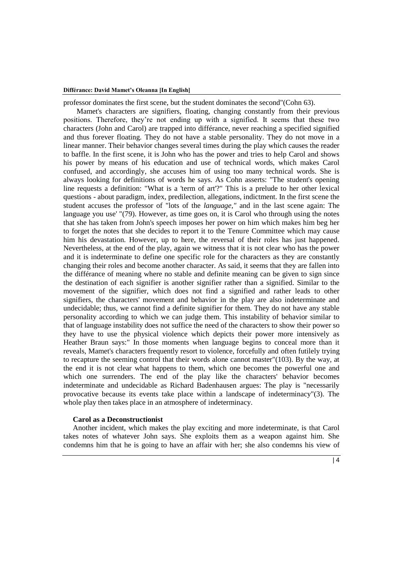professor dominates the first scene, but the student dominates the second"(Cohn 63).

 Mamet's characters are signifiers, floating, changing constantly from their previous positions. Therefore, they're not ending up with a signified. It seems that these two characters (John and Carol) are trapped into différance, never reaching a specified signified and thus forever floating. They do not have a stable personality. They do not move in a linear manner. Their behavior changes several times during the play which causes the reader to baffle. In the first scene, it is John who has the power and tries to help Carol and shows his power by means of his education and use of technical words, which makes Carol confused, and accordingly, she accuses him of using too many technical words. She is always looking for definitions of words he says. As Cohn asserts: "The student's opening line requests a definition: "What is a 'term of art'?" This is a prelude to her other lexical questions - about paradigm, index, predilection, allegations, indictment. In the first scene the student accuses the professor of "lots of the *language,"* and in the last scene again: The language you use' "(79). However, as time goes on, it is Carol who through using the notes that she has taken from John's speech imposes her power on him which makes him beg her to forget the notes that she decides to report it to the Tenure Committee which may cause him his devastation. However, up to here, the reversal of their roles has just happened. Nevertheless, at the end of the play, again we witness that it is not clear who has the power and it is indeterminate to define one specific role for the characters as they are constantly changing their roles and become another character. As said, it seems that they are fallen into the différance of meaning where no stable and definite meaning can be given to sign since the destination of each signifier is another signifier rather than a signified. Similar to the movement of the signifier, which does not find a signified and rather leads to other signifiers, the characters' movement and behavior in the play are also indeterminate and undecidable; thus, we cannot find a definite signifier for them. They do not have any stable personality according to which we can judge them. This instability of behavior similar to that of language instability does not suffice the need of the characters to show their power so they have to use the physical violence which depicts their power more intensively as Heather Braun says:" In those moments when language begins to conceal more than it reveals, Mamet's characters frequently resort to violence, forcefully and often futilely trying to recapture the seeming control that their words alone cannot master"(103). By the way, at the end it is not clear what happens to them, which one becomes the powerful one and which one surrenders. The end of the play like the characters' behavior becomes indeterminate and undecidable as Richard Badenhausen argues: The play is "necessarily provocative because its events take place within a landscape of indeterminacy"(3). The whole play then takes place in an atmosphere of indeterminacy.

## **Carol as a Deconstructionist**

Another incident, which makes the play exciting and more indeterminate, is that Carol takes notes of whatever John says. She exploits them as a weapon against him. She condemns him that he is going to have an affair with her; she also condemns his view of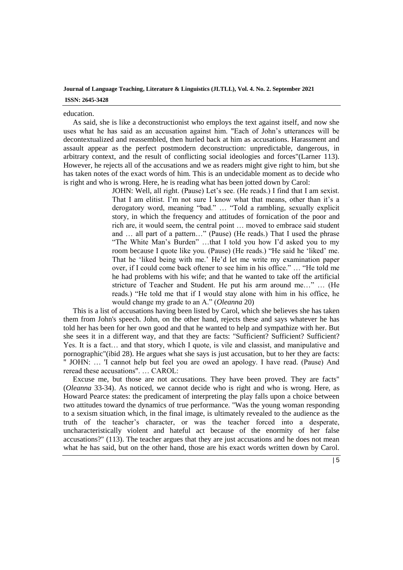education.

As said, she is like a deconstructionist who employs the text against itself, and now she uses what he has said as an accusation against him. "Each of John's utterances will be decontextualized and reassembled, then hurled back at him as accusations. Harassment and assault appear as the perfect postmodern deconstruction: unpredictable, dangerous, in arbitrary context, and the result of conflicting social ideologies and forces"(Larner 113). However, he rejects all of the accusations and we as readers might give right to him, but she has taken notes of the exact words of him. This is an undecidable moment as to decide who is right and who is wrong. Here, he is reading what has been jotted down by Carol:

> JOHN: Well, all right. (Pause) Let's see. (He reads.) I find that I am sexist. That I am elitist. I'm not sure I know what that means, other than it's a derogatory word, meaning "bad." … "Told a rambling, sexually explicit story, in which the frequency and attitudes of fornication of the poor and rich are, it would seem, the central point … moved to embrace said student and … all part of a pattern…" (Pause) (He reads.) That I used the phrase "The White Man's Burden" …that I told you how I'd asked you to my room because I quote like you. (Pause) (He reads.) "He said he 'liked' me. That he 'liked being with me.' He'd let me write my examination paper over, if I could come back oftener to see him in his office." … "He told me he had problems with his wife; and that he wanted to take off the artificial stricture of Teacher and Student. He put his arm around me…" … (He reads.) "He told me that if I would stay alone with him in his office, he would change my grade to an A." (*Oleanna* 20)

This is a list of accusations having been listed by Carol, which she believes she has taken them from John's speech. John, on the other hand, rejects these and says whatever he has told her has been for her own good and that he wanted to help and sympathize with her. But she sees it in a different way, and that they are facts: "Sufficient? Sufficient? Sufficient? Yes. It is a fact… and that story, which I quote, is vile and classist, and manipulative and pornographic"(ibid 28). He argues what she says is just accusation, but to her they are facts: " JOHN: … 'I cannot help but feel you are owed an apology. I have read. (Pause) And reread these accusations". … CAROL:

Excuse me, but those are not accusations. They have been proved. They are facts" (*Oleanna* 33-34). As noticed, we cannot decide who is right and who is wrong. Here, as Howard Pearce states: the predicament of interpreting the play falls upon a choice between two attitudes toward the dynamics of true performance. "Was the young woman responding to a sexism situation which, in the final image, is ultimately revealed to the audience as the truth of the teacher's character, or was the teacher forced into a desperate, uncharacteristically violent and hateful act because of the enormity of her false accusations?" (113). The teacher argues that they are just accusations and he does not mean what he has said, but on the other hand, those are his exact words written down by Carol.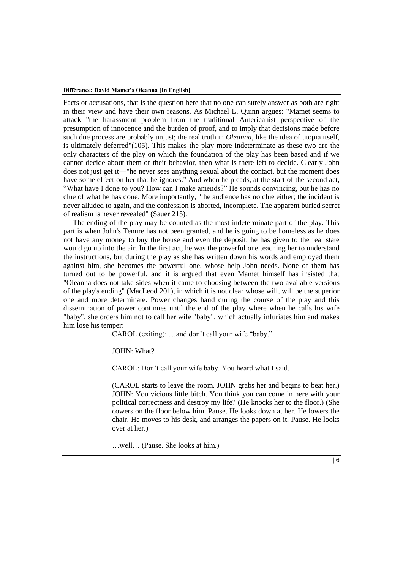Facts or accusations, that is the question here that no one can surely answer as both are right in their view and have their own reasons. As Michael L. Quinn argues: "Mamet seems to attack "the harassment problem from the traditional Americanist perspective of the presumption of innocence and the burden of proof, and to imply that decisions made before such due process are probably unjust; the real truth in *Oleanna,* like the idea of utopia itself, is ultimately deferred"(105). This makes the play more indeterminate as these two are the only characters of the play on which the foundation of the play has been based and if we cannot decide about them or their behavior, then what is there left to decide. Clearly John does not just get it—"he never sees anything sexual about the contact, but the moment does have some effect on her that he ignores." And when he pleads, at the start of the second act, "What have I done to you? How can I make amends?" He sounds convincing, but he has no clue of what he has done. More importantly, "the audience has no clue either; the incident is never alluded to again, and the confession is aborted, incomplete. The apparent buried secret of realism is never revealed" (Sauer 215).

The ending of the play may be counted as the most indeterminate part of the play. This part is when John's Tenure has not been granted, and he is going to be homeless as he does not have any money to buy the house and even the deposit, he has given to the real state would go up into the air. In the first act, he was the powerful one teaching her to understand the instructions, but during the play as she has written down his words and employed them against him, she becomes the powerful one, whose help John needs. None of them has turned out to be powerful, and it is argued that even Mamet himself has insisted that "Oleanna does not take sides when it came to choosing between the two available versions of the play's ending" (MacLeod 201), in which it is not clear whose will, will be the superior one and more determinate. Power changes hand during the course of the play and this dissemination of power continues until the end of the play where when he calls his wife "baby", she orders him not to call her wife "baby", which actually infuriates him and makes him lose his temper:

CAROL (exiting): …and don't call your wife "baby."

JOHN: What?

CAROL: Don't call your wife baby. You heard what I said.

(CAROL starts to leave the room. JOHN grabs her and begins to beat her.) JOHN: You vicious little bitch. You think you can come in here with your political correctness and destroy my life? (He knocks her to the floor.) (She cowers on the floor below him. Pause. He looks down at her. He lowers the chair. He moves to his desk, and arranges the papers on it. Pause. He looks over at her.)

…well… (Pause. She looks at him.)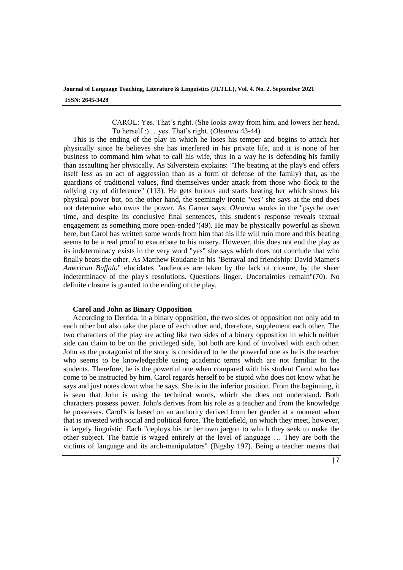CAROL: Yes. That's right. (She looks away from him, and lowers her head. To herself :) …yes. That's right. (*Oleanna* 43-44)

This is the ending of the play in which he loses his temper and begins to attack her physically since he believes she has interfered in his private life, and it is none of her business to command him what to call his wife, thus in a way he is defending his family than assaulting her physically. As Silverstein explains: "The beating at the play's end offers itself less as an act of aggression than as a form of defense of the family) that, as the guardians of traditional values, find themselves under attack from those who flock to the rallying cry of difference" (113). He gets furious and starts beating her which shows his physical power but, on the other hand, the seemingly ironic "yes" she says at the end does not determine who owns the power. As Garner says: *Oleanna* works in the "psyche over time, and despite its conclusive final sentences, this student's response reveals textual engagement as something more open-ended"(49). He may be physically powerful as shown here, but Carol has written some words from him that his life will ruin more and this beating seems to be a real proof to exacerbate to his misery. However, this does not end the play as its indeterminacy exists in the very word "yes" she says which does not conclude that who finally beats the other. As Matthew Roudane in his "Betrayal and friendship: David Mamet's *American Buffalo*" elucidates "audiences are taken by the lack of closure, by the sheer indeterminacy of the play's resolutions. Questions linger. Uncertainties remain"(70). No definite closure is granted to the ending of the play.

## **Carol and John as Binary Opposition**

According to Derrida, in a binary opposition, the two sides of opposition not only add to each other but also take the place of each other and, therefore, supplement each other. The two characters of the play are acting like two sides of a binary opposition in which neither side can claim to be on the privileged side, but both are kind of involved with each other. John as the protagonist of the story is considered to be the powerful one as he is the teacher who seems to be knowledgeable using academic terms which are not familiar to the students. Therefore, he is the powerful one when compared with his student Carol who has come to be instructed by him. Carol regards herself to be stupid who does not know what he says and just notes down what he says. She is in the inferior position. From the beginning, it is seen that John is using the technical words, which she does not understand. Both characters possess power. John's derives from his role as a teacher and from the knowledge he possesses. Carol's is based on an authority derived from her gender at a moment when that is invested with social and political force. The battlefield, on which they meet, however, is largely linguistic. Each "deploys his or her own jargon to which they seek to make the other subject. The battle is waged entirely at the level of language … They are both the victims of language and its arch-manipulators" (Bigsby 197). Being a teacher means that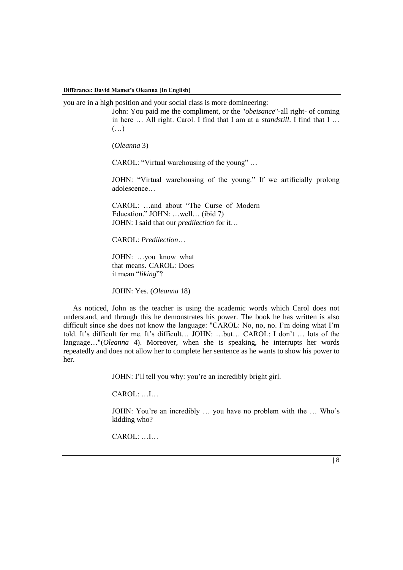you are in a high position and your social class is more domineering:

John: You paid me the compliment, or the "*obeisance*"-all right- of coming in here … All right. Carol. I find that I am at a *standstill*. I find that I …  $(\ldots)$ 

(*Oleanna* 3)

CAROL: "Virtual warehousing of the young" …

JOHN: "Virtual warehousing of the young." If we artificially prolong adolescence…

CAROL: …and about "The Curse of Modern Education." JOHN: …well… (ibid 7) JOHN: I said that our *predilection* for it…

CAROL: *Predilection*…

JOHN: …you know what that means. CAROL: Does it mean "*liking*"?

JOHN: Yes. (*Oleanna* 18)

As noticed, John as the teacher is using the academic words which Carol does not understand, and through this he demonstrates his power. The book he has written is also difficult since she does not know the language: "CAROL: No, no, no. I'm doing what I'm told. It's difficult for me. It's difficult… JOHN: …but… CAROL: I don't … lots of the language…"(*Oleanna* 4). Moreover, when she is speaking, he interrupts her words repeatedly and does not allow her to complete her sentence as he wants to show his power to her.

JOHN: I'll tell you why: you're an incredibly bright girl.

CAROL: …I…

JOHN: You're an incredibly … you have no problem with the … Who's kidding who?

CAROL: …I…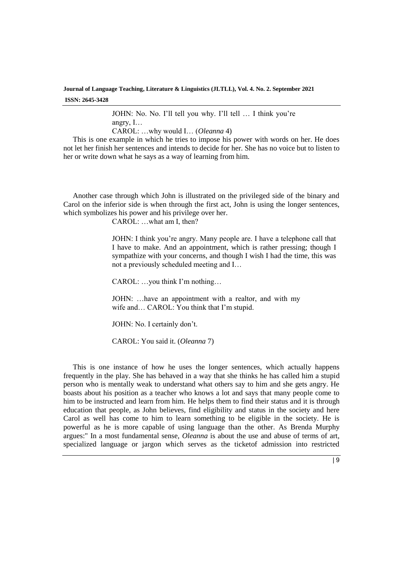> JOHN: No. No. I'll tell you why. I'll tell … I think you're angry, I… CAROL: …why would I… (*Oleanna* 4)

This is one example in which he tries to impose his power with words on her. He does not let her finish her sentences and intends to decide for her. She has no voice but to listen to her or write down what he says as a way of learning from him.

Another case through which John is illustrated on the privileged side of the binary and Carol on the inferior side is when through the first act, John is using the longer sentences, which symbolizes his power and his privilege over her.

CAROL: …what am I, then?

JOHN: I think you're angry. Many people are. I have a telephone call that I have to make. And an appointment, which is rather pressing; though I sympathize with your concerns, and though I wish I had the time, this was not a previously scheduled meeting and I…

CAROL: …you think I'm nothing…

JOHN: …have an appointment with a realtor, and with my wife and… CAROL: You think that I'm stupid.

JOHN: No. I certainly don't.

CAROL: You said it. (*Oleanna* 7)

This is one instance of how he uses the longer sentences, which actually happens frequently in the play. She has behaved in a way that she thinks he has called him a stupid person who is mentally weak to understand what others say to him and she gets angry. He boasts about his position as a teacher who knows a lot and says that many people come to him to be instructed and learn from him. He helps them to find their status and it is through education that people, as John believes, find eligibility and status in the society and here Carol as well has come to him to learn something to be eligible in the society. He is powerful as he is more capable of using language than the other. As Brenda Murphy argues:" In a most fundamental sense, *Oleanna* is about the use and abuse of terms of art, specialized language or jargon which serves as the ticketof admission into restricted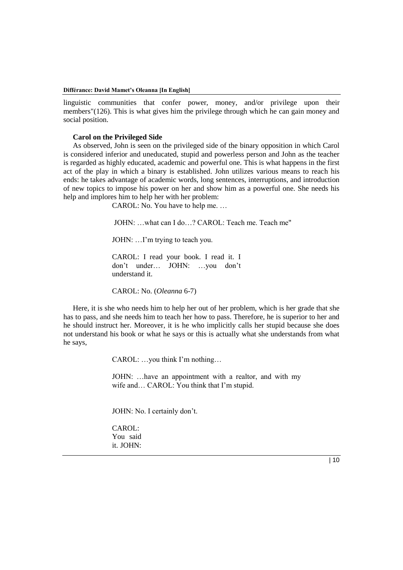linguistic communities that confer power, money, and/or privilege upon their members"(126). This is what gives him the privilege through which he can gain money and social position.

# **Carol on the Privileged Side**

As observed, John is seen on the privileged side of the binary opposition in which Carol is considered inferior and uneducated, stupid and powerless person and John as the teacher is regarded as highly educated, academic and powerful one. This is what happens in the first act of the play in which a binary is established. John utilizes various means to reach his ends: he takes advantage of academic words, long sentences, interruptions, and introduction of new topics to impose his power on her and show him as a powerful one. She needs his help and implores him to help her with her problem:

CAROL: No. You have to help me. …

JOHN: …what can I do…? CAROL: Teach me. Teach me"

JOHN: …I'm trying to teach you.

CAROL: I read your book. I read it. I don't under… JOHN: …you don't understand it.

CAROL: No. (*Oleanna* 6-7)

Here, it is she who needs him to help her out of her problem, which is her grade that she has to pass, and she needs him to teach her how to pass. Therefore, he is superior to her and he should instruct her. Moreover, it is he who implicitly calls her stupid because she does not understand his book or what he says or this is actually what she understands from what he says,

CAROL: …you think I'm nothing…

JOHN: …have an appointment with a realtor, and with my wife and… CAROL: You think that I'm stupid.

JOHN: No. I certainly don't.

CAROL: You said it. JOHN: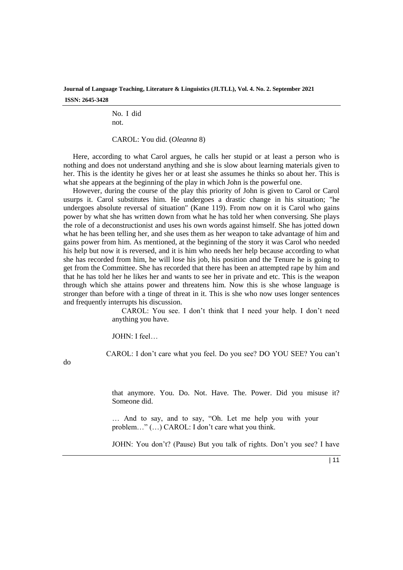> No. I did not.

CAROL: You did. (*Oleanna* 8)

Here, according to what Carol argues, he calls her stupid or at least a person who is nothing and does not understand anything and she is slow about learning materials given to her. This is the identity he gives her or at least she assumes he thinks so about her. This is what she appears at the beginning of the play in which John is the powerful one.

However, during the course of the play this priority of John is given to Carol or Carol usurps it. Carol substitutes him. He undergoes a drastic change in his situation; "he undergoes absolute reversal of situation" (Kane 119). From now on it is Carol who gains power by what she has written down from what he has told her when conversing. She plays the role of a deconstructionist and uses his own words against himself. She has jotted down what he has been telling her, and she uses them as her weapon to take advantage of him and gains power from him. As mentioned, at the beginning of the story it was Carol who needed his help but now it is reversed, and it is him who needs her help because according to what she has recorded from him, he will lose his job, his position and the Tenure he is going to get from the Committee. She has recorded that there has been an attempted rape by him and that he has told her he likes her and wants to see her in private and etc. This is the weapon through which she attains power and threatens him. Now this is she whose language is stronger than before with a tinge of threat in it. This is she who now uses longer sentences and frequently interrupts his discussion.

> CAROL: You see. I don't think that I need your help. I don't need anything you have.

JOHN: I feel…

CAROL: I don't care what you feel. Do you see? DO YOU SEE? You can't

do

that anymore. You. Do. Not. Have. The. Power. Did you misuse it? Someone did.

… And to say, and to say, "Oh. Let me help you with your problem…" (…) CAROL: I don't care what you think.

JOHN: You don't? (Pause) But you talk of rights. Don't you see? I have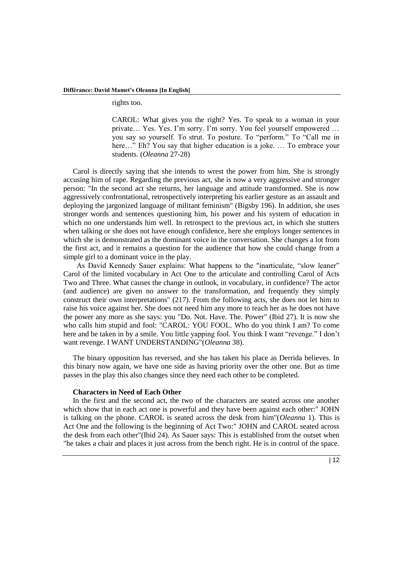rights too.

CAROL: What gives you the right? Yes. To speak to a woman in your private… Yes. Yes. I'm sorry. I'm sorry. You feel yourself empowered … you say so yourself. To strut. To posture. To "perform." To "Call me in here..." Eh? You say that higher education is a joke. ... To embrace your students. (*Oleanna* 27-28)

Carol is directly saying that she intends to wrest the power from him. She is strongly accusing him of rape. Regarding the previous act, she is now a very aggressive and stronger person: "In the second act she returns, her language and attitude transformed. She is now aggressively confrontational, retrospectively interpreting his earlier gesture as an assault and deploying the jargonized language of militant feminism" (Bigsby 196). In addition, she uses stronger words and sentences questioning him, his power and his system of education in which no one understands him well. In retrospect to the previous act, in which she stutters when talking or she does not have enough confidence, here she employs longer sentences in which she is demonstrated as the dominant voice in the conversation. She changes a lot from the first act, and it remains a question for the audience that how she could change from a simple girl to a dominant voice in the play.

 As David Kennedy Sauer explains: What happens to the "inarticulate, "slow leaner" Carol of the limited vocabulary in Act One to the articulate and controlling Carol of Acts Two and Three. What causes the change in outlook, in vocabulary, in confidence? The actor (and audience) are given no answer to the transformation, and frequently they simply construct their own interpretations" (217). From the following acts, she does not let him to raise his voice against her. She does not need him any more to teach her as he does not have the power any more as she says: you "Do. Not. Have. The. Power" (Ibid 27). It is now she who calls him stupid and fool: "CAROL: YOU FOOL. Who do you think I am? To come here and be taken in by a smile. You little yapping fool. You think I want "revenge." I don't want revenge. I WANT UNDERSTANDING"(*Oleanna* 38).

The binary opposition has reversed, and she has taken his place as Derrida believes. In this binary now again, we have one side as having priority over the other one. But as time passes in the play this also changes since they need each other to be completed.

# **Characters in Need of Each Other**

In the first and the second act, the two of the characters are seated across one another which show that in each act one is powerful and they have been against each other:" JOHN is talking on the phone. CAROL is seated across the desk from him"(*Oleanna* 1). This is Act One and the following is the beginning of Act Two:" JOHN and CAROL seated across the desk from each other"(Ibid 24). As Sauer says: This is established from the outset when "he takes a chair and places it just across from the bench right. He is in control of the space.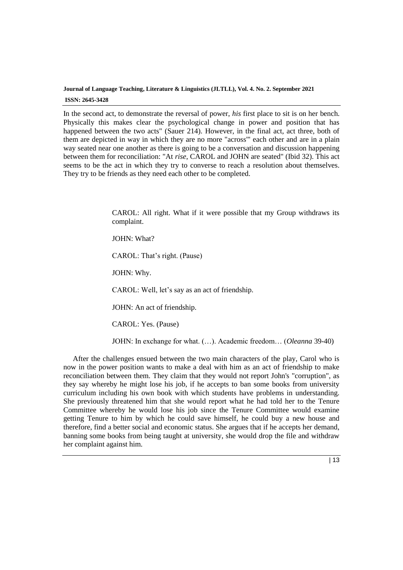In the second act, to demonstrate the reversal of power, *his* first place to sit is on her bench. Physically this makes clear the psychological change in power and position that has happened between the two acts" (Sauer 214). However, in the final act, act three, both of them are depicted in way in which they are no more "across'" each other and are in a plain way seated near one another as there is going to be a conversation and discussion happening between them for reconciliation: "At *rise*, CAROL and JOHN are seated" (Ibid 32). This act seems to be the act in which they try to converse to reach a resolution about themselves. They try to be friends as they need each other to be completed.

> CAROL: All right. What if it were possible that my Group withdraws its complaint.

JOHN: What?

CAROL: That's right. (Pause)

JOHN: Why.

CAROL: Well, let's say as an act of friendship.

JOHN: An act of friendship.

CAROL: Yes. (Pause)

JOHN: In exchange for what. (…). Academic freedom… (*Oleanna* 39-40)

After the challenges ensued between the two main characters of the play, Carol who is now in the power position wants to make a deal with him as an act of friendship to make reconciliation between them. They claim that they would not report John's "corruption", as they say whereby he might lose his job, if he accepts to ban some books from university curriculum including his own book with which students have problems in understanding. She previously threatened him that she would report what he had told her to the Tenure Committee whereby he would lose his job since the Tenure Committee would examine getting Tenure to him by which he could save himself, he could buy a new house and therefore, find a better social and economic status. She argues that if he accepts her demand, banning some books from being taught at university, she would drop the file and withdraw her complaint against him.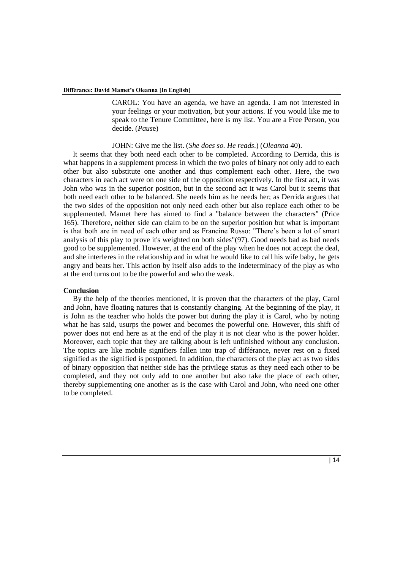CAROL: You have an agenda, we have an agenda. I am not interested in your feelings or your motivation, but your actions. If you would like me to speak to the Tenure Committee, here is my list. You are a Free Person, you decide. (*Paus*e)

## JOHN: Give me the list. (*She does so. He reads*.) (*Oleanna* 40).

It seems that they both need each other to be completed. According to Derrida, this is what happens in a supplement process in which the two poles of binary not only add to each other but also substitute one another and thus complement each other. Here, the two characters in each act were on one side of the opposition respectively. In the first act, it was John who was in the superior position, but in the second act it was Carol but it seems that both need each other to be balanced. She needs him as he needs her; as Derrida argues that the two sides of the opposition not only need each other but also replace each other to be supplemented. Mamet here has aimed to find a "balance between the characters" (Price 165). Therefore, neither side can claim to be on the superior position but what is important is that both are in need of each other and as Francine Russo: "There's been a lot of smart analysis of this play to prove it's weighted on both sides"(97). Good needs bad as bad needs good to be supplemented. However, at the end of the play when he does not accept the deal, and she interferes in the relationship and in what he would like to call his wife baby, he gets angry and beats her. This action by itself also adds to the indeterminacy of the play as who at the end turns out to be the powerful and who the weak.

### **Conclusion**

By the help of the theories mentioned, it is proven that the characters of the play, Carol and John, have floating natures that is constantly changing. At the beginning of the play, it is John as the teacher who holds the power but during the play it is Carol, who by noting what he has said, usurps the power and becomes the powerful one. However, this shift of power does not end here as at the end of the play it is not clear who is the power holder. Moreover, each topic that they are talking about is left unfinished without any conclusion. The topics are like mobile signifiers fallen into trap of différance, never rest on a fixed signified as the signified is postponed. In addition, the characters of the play act as two sides of binary opposition that neither side has the privilege status as they need each other to be completed, and they not only add to one another but also take the place of each other, thereby supplementing one another as is the case with Carol and John, who need one other to be completed.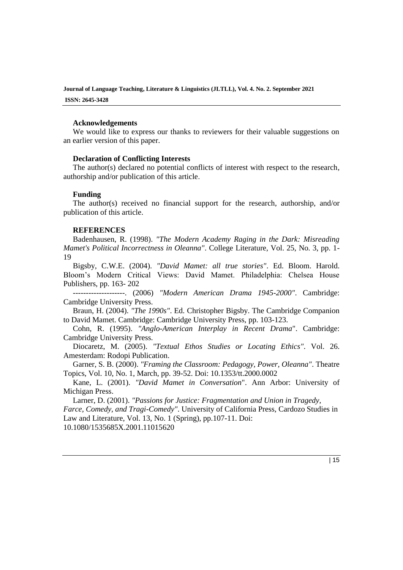## **Acknowledgements**

We would like to express our thanks to reviewers for their valuable suggestions on an earlier version of this paper.

# **Declaration of Conflicting Interests**

The author(s) declared no potential conflicts of interest with respect to the research, authorship and/or publication of this article.

## **Funding**

The author(s) received no financial support for the research, authorship, and/or publication of this article.

# **REFERENCES**

Badenhausen, R. (1998). *"The Modern Academy Raging in the Dark: Misreading Mamet's Political Incorrectness in Oleanna"*. College Literature, Vol. 25, No. 3, pp. 1- 19

Bigsby, C.W.E. (2004). *"David Mamet: all true stories"*. Ed. Bloom. Harold. Bloom's Modern Critical Views: David Mamet. Philadelphia: Chelsea House Publishers, pp. 163- 202

--------------------. (2006) *"Modern American Drama 1945-2000"*. Cambridge: Cambridge University Press.

Braun, H. (2004). *"The 1990s"*. Ed. Christopher Bigsby. The Cambridge Companion to David Mamet. Cambridge: Cambridge University Press, pp. 103-123.

Cohn, R. (1995). *"Anglo-American Interplay in Recent Drama*". Cambridge: Cambridge University Press.

Diocaretz, M. (2005). *"Textual Ethos Studies or Locating Ethics"*. Vol. 26. Amesterdam: Rodopi Publication.

Garner, S. B. (2000). *"Framing the Classroom: Pedagogy, Power, Oleanna"*. Theatre Topics, Vol. 10, No. 1, March, pp. 39-52. Doi: [10.1353/tt.2000.0002](https://doi.org/10.1353/tt.2000.0002)

Kane, L. (2001). *"David Mamet in Conversation*". Ann Arbor: University of Michigan Press.

Larner, D. (2001). *"Passions for Justice: Fragmentation and Union in Tragedy, Farce, Comedy, and Tragi-Comedy"*. University of California Press, Cardozo Studies in Law and Literature, Vol. 13, No. 1 (Spring), pp.107-11. Doi: [10.1080/1535685X.2001.11015620](https://doi.org/10.1080/1535685X.2001.11015620)